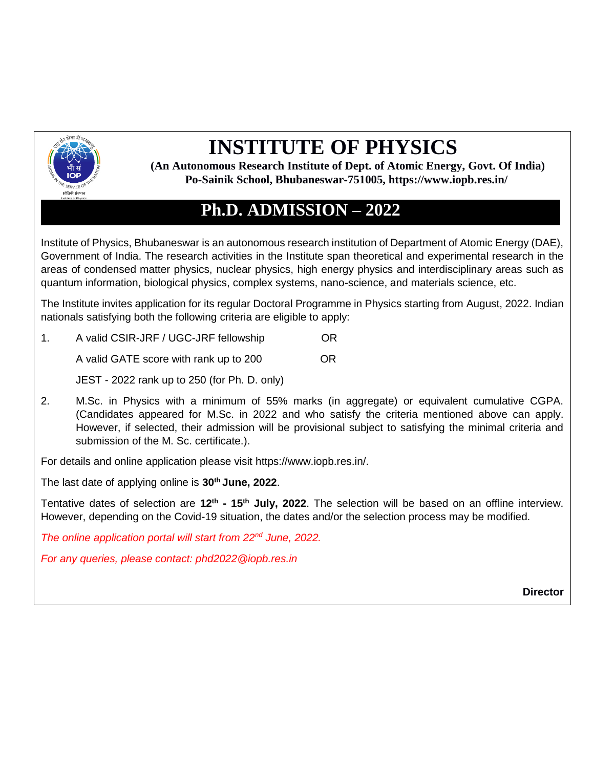

## **INSTITUTE OF PHYSICS**

**(An Autonomous Research Institute of Dept. of Atomic Energy, Govt. Of India) Po**‐**Sainik School, Bhubaneswar**‐**751005, https://www.iopb.res.in/**

## **Ph.D. ADMISSION – 2022**

Institute of Physics, Bhubaneswar is an autonomous research institution of Department of Atomic Energy (DAE), Government of India. The research activities in the Institute span theoretical and experimental research in the areas of condensed matter physics, nuclear physics, high energy physics and interdisciplinary areas such as quantum information, biological physics, complex systems, nano-science, and materials science, etc.

The Institute invites application for its regular Doctoral Programme in Physics starting from August, 2022. Indian nationals satisfying both the following criteria are eligible to apply:

1. A valid CSIR-JRF / UGC-JRF fellowship OR

A valid GATE score with rank up to 200 OR

JEST - 2022 rank up to 250 (for Ph. D. only)

2. M.Sc. in Physics with a minimum of 55% marks (in aggregate) or equivalent cumulative CGPA. (Candidates appeared for M.Sc. in 2022 and who satisfy the criteria mentioned above can apply. However, if selected, their admission will be provisional subject to satisfying the minimal criteria and submission of the M. Sc. certificate.).

For details and online application please visit https://www.iopb.res.in/.

The last date of applying online is **30th June, 2022**.

Tentative dates of selection are 12<sup>th</sup> - 15<sup>th</sup> July, 2022. The selection will be based on an offline interview. However, depending on the Covid-19 situation, the dates and/or the selection process may be modified.

*The online application portal will start from 22nd June, 2022.*

*For any queries, please contact: phd2022@iopb.res.in*

**Director**